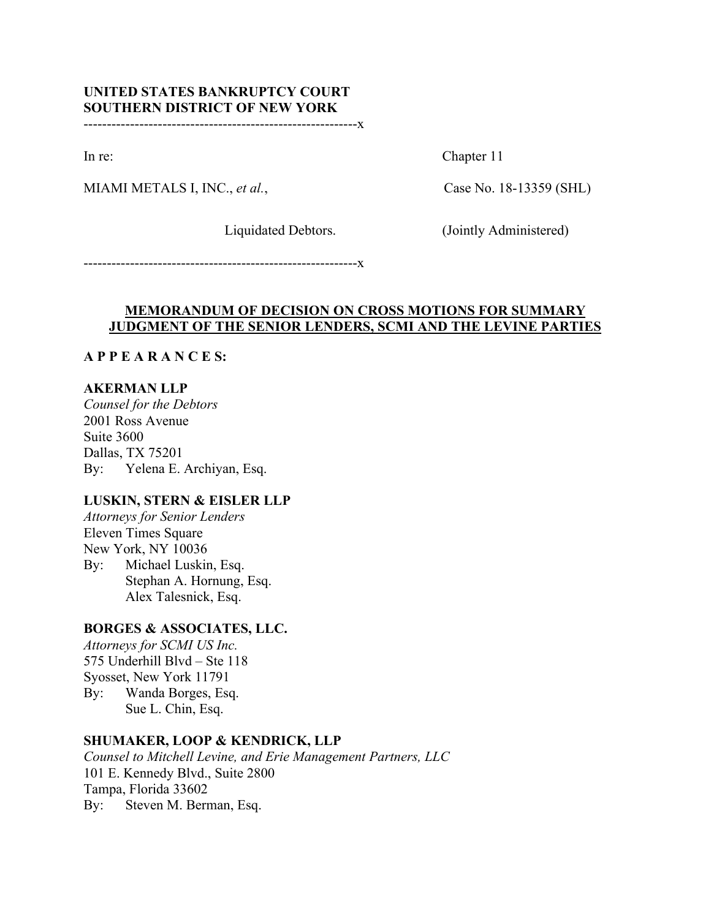# **UNITED STATES BANKRUPTCY COURT SOUTHERN DISTRICT OF NEW YORK**

-----------------------------------------------------------x

MIAMI METALS I, INC., *et al.*, Case No. 18-13359 (SHL)

In re: Chapter 11

Liquidated Debtors. (Jointly Administered)

-----------------------------------------------------------x

## **MEMORANDUM OF DECISION ON CROSS MOTIONS FOR SUMMARY JUDGMENT OF THE SENIOR LENDERS, SCMI AND THE LEVINE PARTIES**

## **A P P E A R A N C E S:**

## **AKERMAN LLP**

*Counsel for the Debtors* 2001 Ross Avenue Suite 3600 Dallas, TX 75201 By: Yelena E. Archiyan, Esq.

## **LUSKIN, STERN & EISLER LLP**

*Attorneys for Senior Lenders* Eleven Times Square New York, NY 10036 By: Michael Luskin, Esq. Stephan A. Hornung, Esq. Alex Talesnick, Esq.

## **BORGES & ASSOCIATES, LLC.**

*Attorneys for SCMI US Inc.* 575 Underhill Blvd – Ste 118 Syosset, New York 11791 By: Wanda Borges, Esq. Sue L. Chin, Esq.

## **SHUMAKER, LOOP & KENDRICK, LLP**

*Counsel to Mitchell Levine, and Erie Management Partners, LLC* 101 E. Kennedy Blvd., Suite 2800 Tampa, Florida 33602 By: Steven M. Berman, Esq.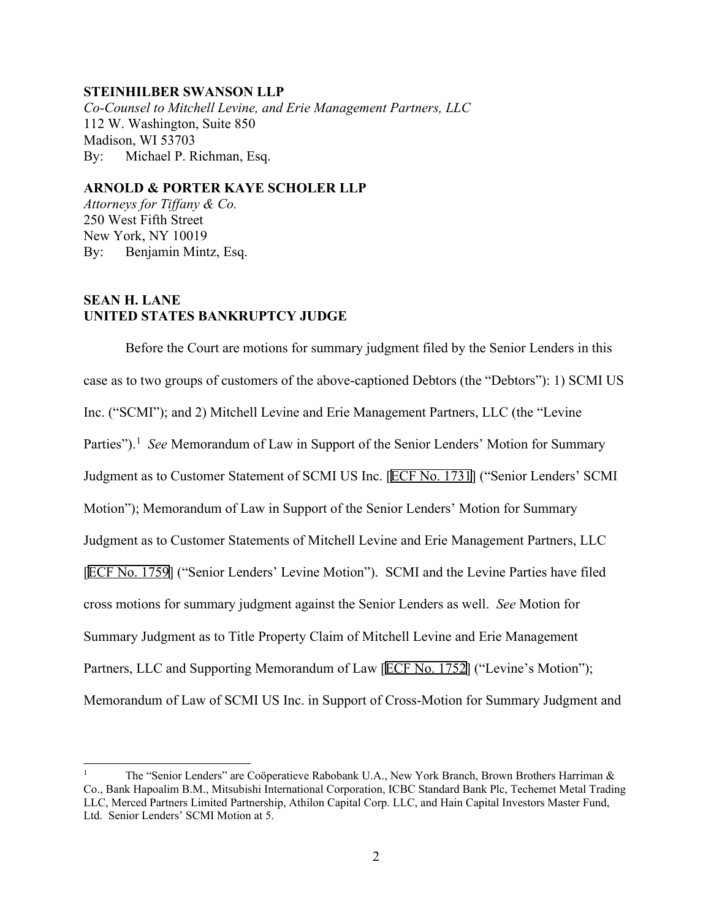### **STEINHILBER SWANSON LLP**

*Co-Counsel to Mitchell Levine, and Erie Management Partners, LLC* 112 W. Washington, Suite 850 Madison, WI 53703 By: Michael P. Richman, Esq.

### **ARNOLD & PORTER KAYE SCHOLER LLP**

*Attorneys for Tiffany & Co.* 250 West Fifth Street New York, NY 10019 By: Benjamin Mintz, Esq.

## **SEAN H. LANE UNITED STATES BANKRUPTCY JUDGE**

Before the Court are motions for summary judgment filed by the Senior Lenders in this case as to two groups of customers of the above-captioned Debtors (the "Debtors"): 1) SCMI US Inc. ("SCMI"); and 2) Mitchell Levine and Erie Management Partners, LLC (the "Levine Parties").<sup>[1](#page-1-0)</sup> See Memorandum of Law in Support of the Senior Lenders' Motion for Summary Judgment as to Customer Statement of SCMI US Inc. [ECF No. 1731] ("Senior Lenders' SCMI Motion"); Memorandum of Law in Support of the Senior Lenders' Motion for Summary Judgment as to Customer Statements of Mitchell Levine and Erie Management Partners, LLC [ECF No. 1759] ("Senior Lenders' Levine Motion"). SCMI and the Levine Parties have filed cross motions for summary judgment against the Senior Lenders as well. *See* Motion for Summary Judgment as to Title Property Claim of Mitchell Levine and Erie Management Partners, LLC and Supporting Memorandum of Law [ECF No. 1752] ("Levine's Motion"); Memorandum of Law of SCMI US Inc. in Support of Cross-Motion for Summary Judgment and

<span id="page-1-0"></span><sup>1</sup> The "Senior Lenders" are Coöperatieve Rabobank U.A., New York Branch, Brown Brothers Harriman & Co., Bank Hapoalim B.M., Mitsubishi International Corporation, ICBC Standard Bank Plc, Techemet Metal Trading LLC, Merced Partners Limited Partnership, Athilon Capital Corp. LLC, and Hain Capital Investors Master Fund, Ltd. Senior Lenders' SCMI Motion at 5.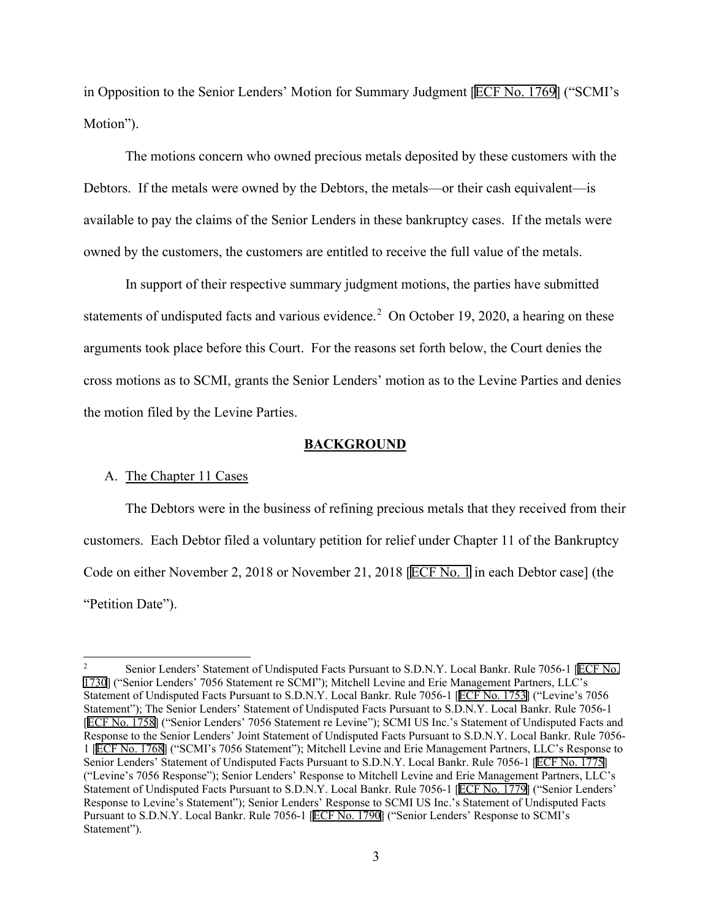in Opposition to the Senior Lenders' Motion for Summary Judgment [ECF No. 1769] ("SCMI's Motion").

The motions concern who owned precious metals deposited by these customers with the Debtors. If the metals were owned by the Debtors, the metals—or their cash equivalent—is available to pay the claims of the Senior Lenders in these bankruptcy cases. If the metals were owned by the customers, the customers are entitled to receive the full value of the metals.

In support of their respective summary judgment motions, the parties have submitted statements of undisputed facts and various evidence.<sup>[2](#page-2-0)</sup> On October 19, 2020, a hearing on these arguments took place before this Court. For the reasons set forth below, the Court denies the cross motions as to SCMI, grants the Senior Lenders' motion as to the Levine Parties and denies the motion filed by the Levine Parties.

#### **BACKGROUND**

#### A. The Chapter 11 Cases

The Debtors were in the business of refining precious metals that they received from their customers. Each Debtor filed a voluntary petition for relief under Chapter 11 of the Bankruptcy Code on either November 2, 2018 or November 21, 2018 [ECF No. 1 in each Debtor case] (the "Petition Date").

<span id="page-2-0"></span><sup>&</sup>lt;sup>2</sup> Senior Lenders' Statement of Undisputed Facts Pursuant to S.D.N.Y. Local Bankr. Rule 7056-1 [ECF No. 1730] ("Senior Lenders' 7056 Statement re SCMI"); Mitchell Levine and Erie Management Partners, LLC's Statement of Undisputed Facts Pursuant to S.D.N.Y. Local Bankr. Rule 7056-1 [ECF No. 1753] ("Levine's 7056 Statement"); The Senior Lenders' Statement of Undisputed Facts Pursuant to S.D.N.Y. Local Bankr. Rule 7056-1 [ECF No. 1758] ("Senior Lenders' 7056 Statement re Levine"); SCMI US Inc.'s Statement of Undisputed Facts and Response to the Senior Lenders' Joint Statement of Undisputed Facts Pursuant to S.D.N.Y. Local Bankr. Rule 7056- 1 [ECF No. 1768] ("SCMI's 7056 Statement"); Mitchell Levine and Erie Management Partners, LLC's Response to Senior Lenders' Statement of Undisputed Facts Pursuant to S.D.N.Y. Local Bankr. Rule 7056-1 [ECF No. 1775] ("Levine's 7056 Response"); Senior Lenders' Response to Mitchell Levine and Erie Management Partners, LLC's Statement of Undisputed Facts Pursuant to S.D.N.Y. Local Bankr. Rule 7056-1 [ECF No. 1779] ("Senior Lenders' Response to Levine's Statement"); Senior Lenders' Response to SCMI US Inc.'s Statement of Undisputed Facts Pursuant to S.D.N.Y. Local Bankr. Rule 7056-1 [ECF No. 1790] ("Senior Lenders' Response to SCMI's Statement").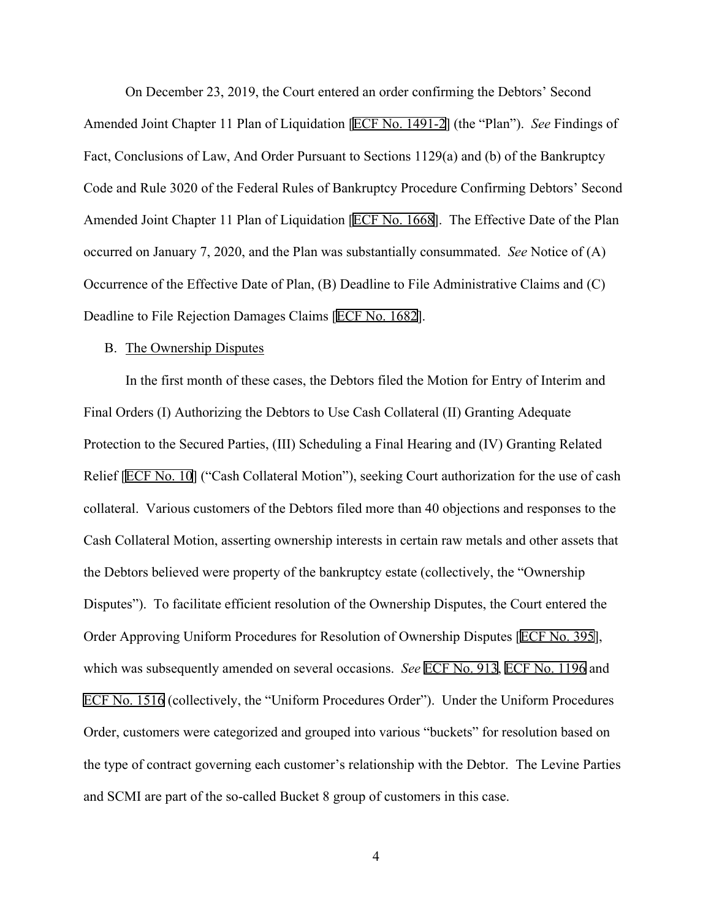On December 23, 2019, the Court entered an order confirming the Debtors' Second Amended Joint Chapter 11 Plan of Liquidation [ECF No. 1491-2] (the "Plan"). *See* Findings of Fact, Conclusions of Law, And Order Pursuant to Sections 1129(a) and (b) of the Bankruptcy Code and Rule 3020 of the Federal Rules of Bankruptcy Procedure Confirming Debtors' Second Amended Joint Chapter 11 Plan of Liquidation [ECF No. 1668]. The Effective Date of the Plan occurred on January 7, 2020, and the Plan was substantially consummated. *See* Notice of (A) Occurrence of the Effective Date of Plan, (B) Deadline to File Administrative Claims and (C) Deadline to File Rejection Damages Claims [ECF No. 1682].

#### B. The Ownership Disputes

In the first month of these cases, the Debtors filed the Motion for Entry of Interim and Final Orders (I) Authorizing the Debtors to Use Cash Collateral (II) Granting Adequate Protection to the Secured Parties, (III) Scheduling a Final Hearing and (IV) Granting Related Relief [ECF No. 10] ("Cash Collateral Motion"), seeking Court authorization for the use of cash collateral. Various customers of the Debtors filed more than 40 objections and responses to the Cash Collateral Motion, asserting ownership interests in certain raw metals and other assets that the Debtors believed were property of the bankruptcy estate (collectively, the "Ownership Disputes"). To facilitate efficient resolution of the Ownership Disputes, the Court entered the Order Approving Uniform Procedures for Resolution of Ownership Disputes [ECF No. 395], which was subsequently amended on several occasions. *See* ECF No. 913, ECF No. 1196 and ECF No. 1516 (collectively, the "Uniform Procedures Order"). Under the Uniform Procedures Order, customers were categorized and grouped into various "buckets" for resolution based on the type of contract governing each customer's relationship with the Debtor. The Levine Parties and SCMI are part of the so-called Bucket 8 group of customers in this case.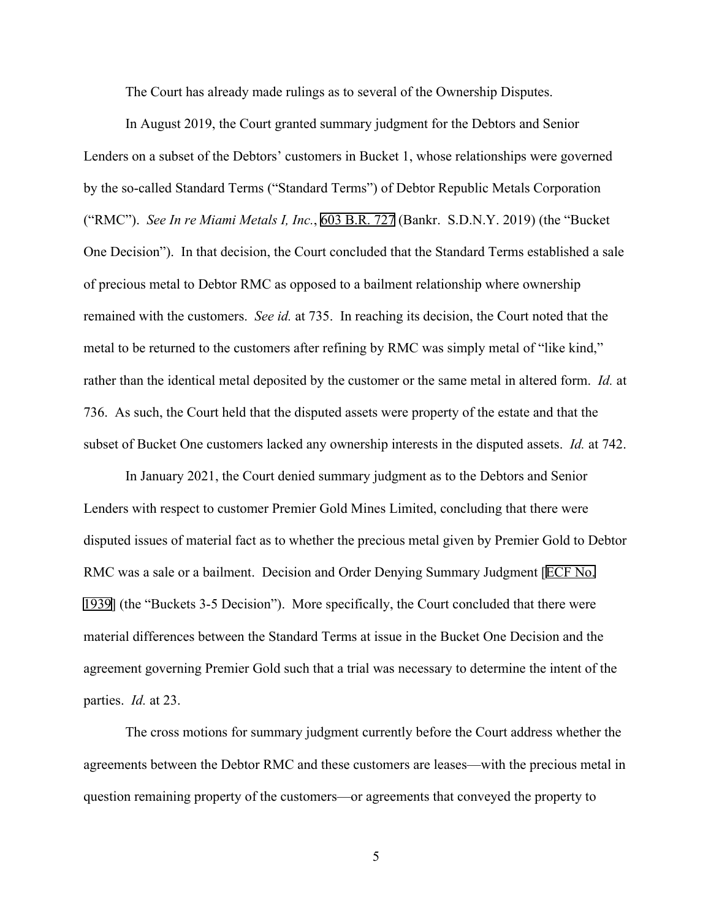The Court has already made rulings as to several of the Ownership Disputes.

In August 2019, the Court granted summary judgment for the Debtors and Senior Lenders on a subset of the Debtors' customers in Bucket 1, whose relationships were governed by the so-called Standard Terms ("Standard Terms") of Debtor Republic Metals Corporation ("RMC"). *See In re Miami Metals I, Inc.*, 603 B.R. 727 (Bankr. S.D.N.Y. 2019) (the "Bucket One Decision"). In that decision, the Court concluded that the Standard Terms established a sale of precious metal to Debtor RMC as opposed to a bailment relationship where ownership remained with the customers. *See id.* at 735. In reaching its decision, the Court noted that the metal to be returned to the customers after refining by RMC was simply metal of "like kind," rather than the identical metal deposited by the customer or the same metal in altered form. *Id.* at 736. As such, the Court held that the disputed assets were property of the estate and that the subset of Bucket One customers lacked any ownership interests in the disputed assets. *Id.* at 742.

In January 2021, the Court denied summary judgment as to the Debtors and Senior Lenders with respect to customer Premier Gold Mines Limited, concluding that there were disputed issues of material fact as to whether the precious metal given by Premier Gold to Debtor RMC was a sale or a bailment. Decision and Order Denying Summary Judgment [ECF No. 1939] (the "Buckets 3-5 Decision"). More specifically, the Court concluded that there were material differences between the Standard Terms at issue in the Bucket One Decision and the agreement governing Premier Gold such that a trial was necessary to determine the intent of the parties. *Id.* at 23.

The cross motions for summary judgment currently before the Court address whether the agreements between the Debtor RMC and these customers are leases—with the precious metal in question remaining property of the customers—or agreements that conveyed the property to

5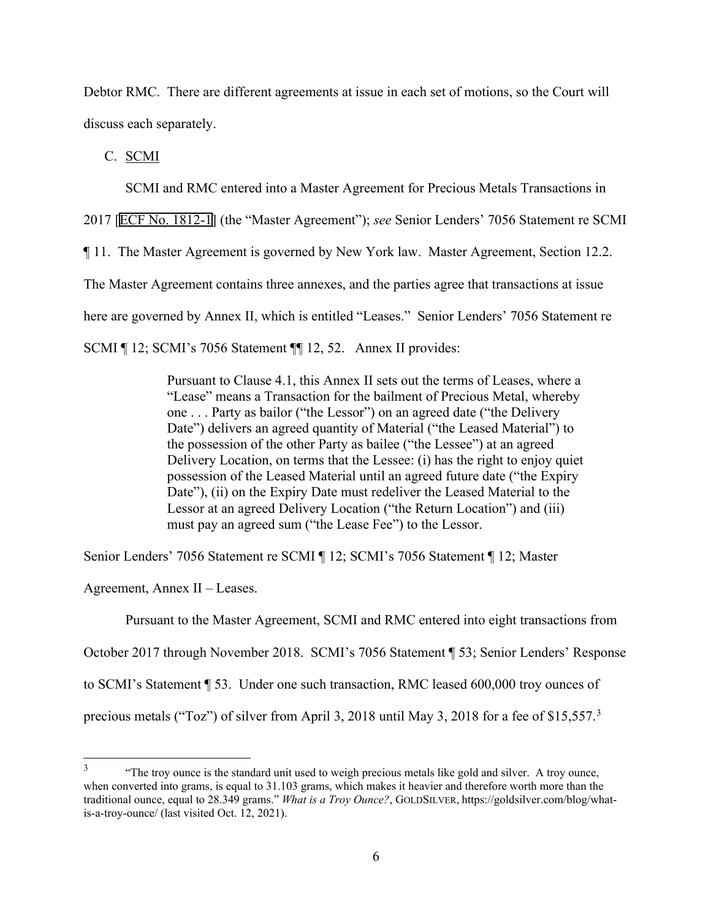Debtor RMC. There are different agreements at issue in each set of motions, so the Court will discuss each separately.

C. SCMI

SCMI and RMC entered into a Master Agreement for Precious Metals Transactions in

2017 [ECF No. 1812-1] (the "Master Agreement"); *see* Senior Lenders' 7056 Statement re SCMI

¶ 11. The Master Agreement is governed by New York law. Master Agreement, Section 12.2.

The Master Agreement contains three annexes, and the parties agree that transactions at issue

here are governed by Annex II, which is entitled "Leases." Senior Lenders' 7056 Statement re

SCMI ¶ 12; SCMI's 7056 Statement ¶ 12, 52. Annex II provides:

Pursuant to Clause 4.1, this Annex II sets out the terms of Leases, where a "Lease" means a Transaction for the bailment of Precious Metal, whereby one . . . Party as bailor ("the Lessor") on an agreed date ("the Delivery Date") delivers an agreed quantity of Material ("the Leased Material") to the possession of the other Party as bailee ("the Lessee") at an agreed Delivery Location, on terms that the Lessee: (i) has the right to enjoy quiet possession of the Leased Material until an agreed future date ("the Expiry Date"), (ii) on the Expiry Date must redeliver the Leased Material to the Lessor at an agreed Delivery Location ("the Return Location") and (iii) must pay an agreed sum ("the Lease Fee") to the Lessor.

Senior Lenders' 7056 Statement re SCMI ¶ 12; SCMI's 7056 Statement ¶ 12; Master

Agreement, Annex II – Leases.

Pursuant to the Master Agreement, SCMI and RMC entered into eight transactions from

October 2017 through November 2018. SCMI's 7056 Statement ¶ 53; Senior Lenders' Response

to SCMI's Statement ¶ 53. Under one such transaction, RMC leased 600,000 troy ounces of

precious metals ("Toz") of silver from April [3](#page-5-0), 2018 until May 3, 2018 for a fee of \$15,557.<sup>3</sup>

<span id="page-5-0"></span><sup>&</sup>lt;sup>3</sup> "The troy ounce is the standard unit used to weigh precious metals like gold and silver. A troy ounce, when converted into grams, is equal to 31.103 grams, which makes it heavier and therefore worth more than the traditional ounce, equal to 28.349 grams." *What is a Troy Ounce?*, GOLDSILVER, https://goldsilver.com/blog/whatis-a-troy-ounce/ (last visited Oct. 12, 2021).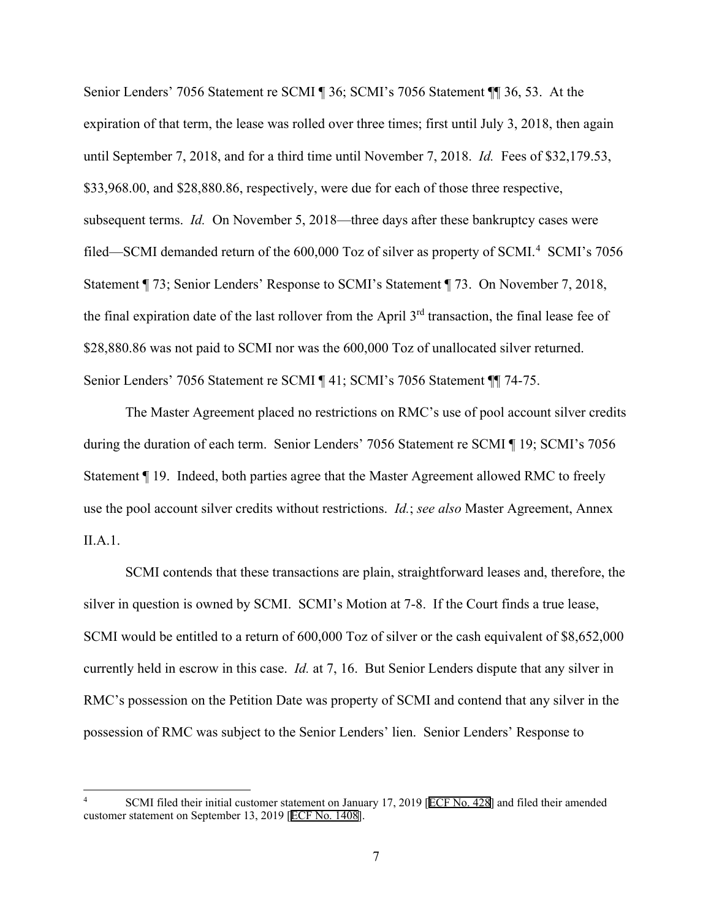Senior Lenders' 7056 Statement re SCMI ¶ 36; SCMI's 7056 Statement ¶¶ 36, 53. At the expiration of that term, the lease was rolled over three times; first until July 3, 2018, then again until September 7, 2018, and for a third time until November 7, 2018. *Id.* Fees of \$32,179.53, \$33,968.00, and \$28,880.86, respectively, were due for each of those three respective, subsequent terms. *Id.* On November 5, 2018—three days after these bankruptcy cases were filed—SCMI demanded return of the 600,000 Toz of silver as property of SCMI.<sup>[4](#page-6-0)</sup> SCMI's 7056 Statement ¶ 73; Senior Lenders' Response to SCMI's Statement ¶ 73. On November 7, 2018, the final expiration date of the last rollover from the April  $3<sup>rd</sup>$  transaction, the final lease fee of \$28,880.86 was not paid to SCMI nor was the 600,000 Toz of unallocated silver returned. Senior Lenders' 7056 Statement re SCMI ¶ 41; SCMI's 7056 Statement ¶¶ 74-75.

The Master Agreement placed no restrictions on RMC's use of pool account silver credits during the duration of each term. Senior Lenders' 7056 Statement re SCMI ¶ 19; SCMI's 7056 Statement ¶ 19. Indeed, both parties agree that the Master Agreement allowed RMC to freely use the pool account silver credits without restrictions. *Id.*; *see also* Master Agreement, Annex II.A.1.

SCMI contends that these transactions are plain, straightforward leases and, therefore, the silver in question is owned by SCMI. SCMI's Motion at 7-8. If the Court finds a true lease, SCMI would be entitled to a return of 600,000 Toz of silver or the cash equivalent of \$8,652,000 currently held in escrow in this case. *Id.* at 7, 16. But Senior Lenders dispute that any silver in RMC's possession on the Petition Date was property of SCMI and contend that any silver in the possession of RMC was subject to the Senior Lenders' lien. Senior Lenders' Response to

<span id="page-6-0"></span>SCMI filed their initial customer statement on January 17, 2019 [ECF No. 428] and filed their amended customer statement on September 13, 2019 [ECF No. 1408].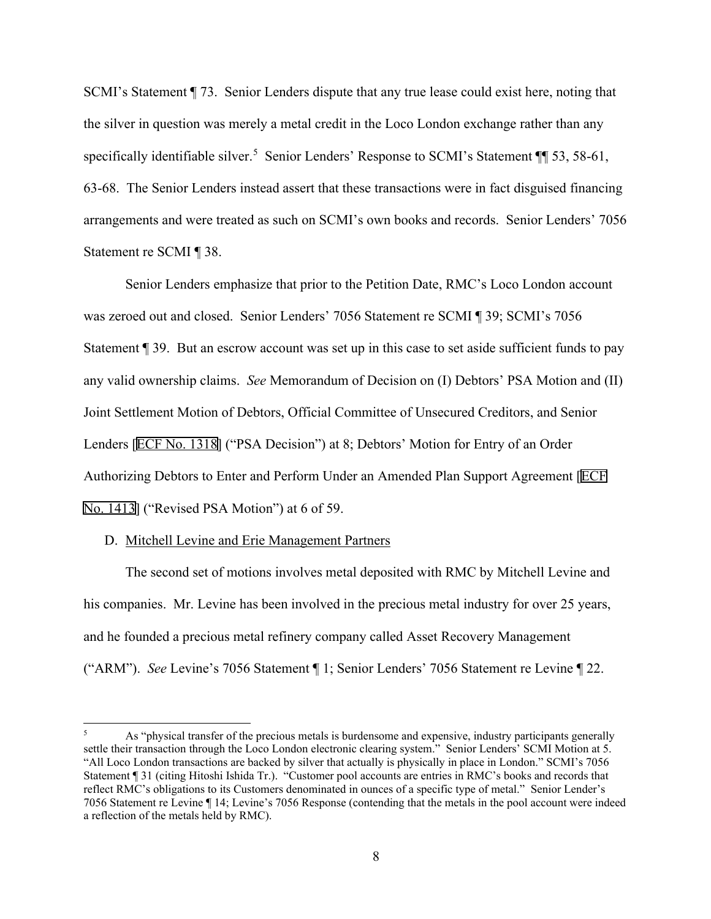SCMI's Statement ¶ 73. Senior Lenders dispute that any true lease could exist here, noting that the silver in question was merely a metal credit in the Loco London exchange rather than any specifically identifiable silver.<sup>[5](#page-7-0)</sup> Senior Lenders' Response to SCMI's Statement ¶ 53, 58-61, 63-68. The Senior Lenders instead assert that these transactions were in fact disguised financing arrangements and were treated as such on SCMI's own books and records. Senior Lenders' 7056 Statement re SCMI ¶ 38.

Senior Lenders emphasize that prior to the Petition Date, RMC's Loco London account was zeroed out and closed. Senior Lenders' 7056 Statement re SCMI ¶ 39; SCMI's 7056 Statement ¶ 39. But an escrow account was set up in this case to set aside sufficient funds to pay any valid ownership claims. *See* Memorandum of Decision on (I) Debtors' PSA Motion and (II) Joint Settlement Motion of Debtors, Official Committee of Unsecured Creditors, and Senior Lenders [ECF No. 1318] ("PSA Decision") at 8; Debtors' Motion for Entry of an Order Authorizing Debtors to Enter and Perform Under an Amended Plan Support Agreement [ECF No. 1413] ("Revised PSA Motion") at 6 of 59.

#### D. Mitchell Levine and Erie Management Partners

The second set of motions involves metal deposited with RMC by Mitchell Levine and his companies. Mr. Levine has been involved in the precious metal industry for over 25 years, and he founded a precious metal refinery company called Asset Recovery Management ("ARM"). *See* Levine's 7056 Statement ¶ 1; Senior Lenders' 7056 Statement re Levine ¶ 22.

<span id="page-7-0"></span>As "physical transfer of the precious metals is burdensome and expensive, industry participants generally settle their transaction through the Loco London electronic clearing system." Senior Lenders' SCMI Motion at 5. "All Loco London transactions are backed by silver that actually is physically in place in London." SCMI's 7056 Statement ¶ 31 (citing Hitoshi Ishida Tr.). "Customer pool accounts are entries in RMC's books and records that reflect RMC's obligations to its Customers denominated in ounces of a specific type of metal." Senior Lender's 7056 Statement re Levine ¶ 14; Levine's 7056 Response (contending that the metals in the pool account were indeed a reflection of the metals held by RMC).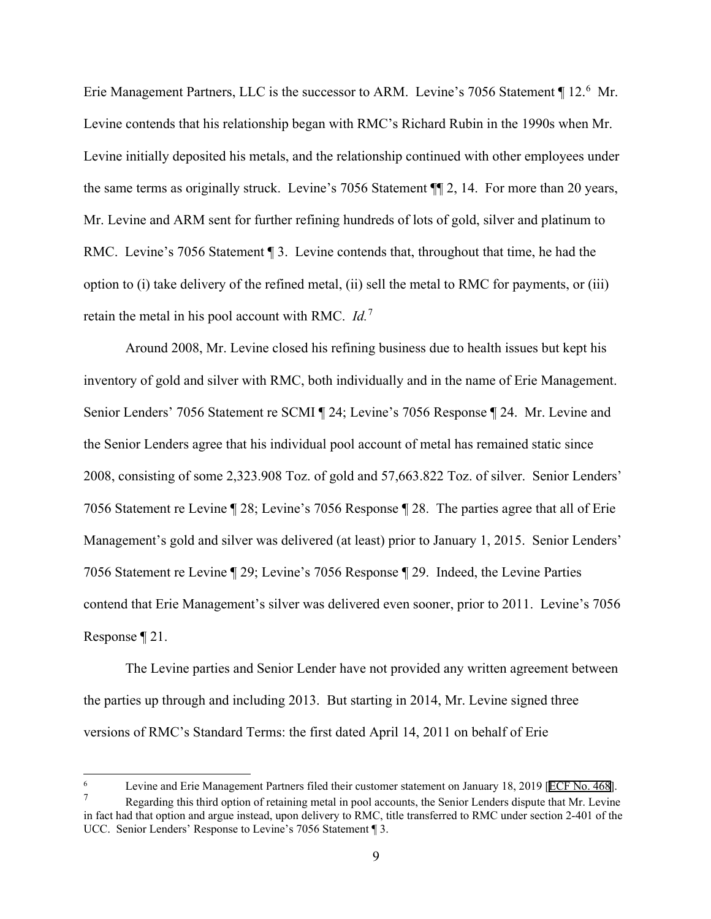Erie Management Partners, LLC is the successor to ARM. Levine's 705[6](#page-8-0) Statement ¶ 12.<sup>6</sup> Mr. Levine contends that his relationship began with RMC's Richard Rubin in the 1990s when Mr. Levine initially deposited his metals, and the relationship continued with other employees under the same terms as originally struck. Levine's 7056 Statement ¶¶ 2, 14. For more than 20 years, Mr. Levine and ARM sent for further refining hundreds of lots of gold, silver and platinum to RMC. Levine's 7056 Statement 13. Levine contends that, throughout that time, he had the option to (i) take delivery of the refined metal, (ii) sell the metal to RMC for payments, or (iii) retain the metal in his pool account with RMC. *Id.*[7](#page-8-1)

Around 2008, Mr. Levine closed his refining business due to health issues but kept his inventory of gold and silver with RMC, both individually and in the name of Erie Management. Senior Lenders' 7056 Statement re SCMI ¶ 24; Levine's 7056 Response ¶ 24. Mr. Levine and the Senior Lenders agree that his individual pool account of metal has remained static since 2008, consisting of some 2,323.908 Toz. of gold and 57,663.822 Toz. of silver. Senior Lenders' 7056 Statement re Levine ¶ 28; Levine's 7056 Response ¶ 28. The parties agree that all of Erie Management's gold and silver was delivered (at least) prior to January 1, 2015. Senior Lenders' 7056 Statement re Levine ¶ 29; Levine's 7056 Response ¶ 29. Indeed, the Levine Parties contend that Erie Management's silver was delivered even sooner, prior to 2011. Levine's 7056 Response ¶ 21.

The Levine parties and Senior Lender have not provided any written agreement between the parties up through and including 2013. But starting in 2014, Mr. Levine signed three versions of RMC's Standard Terms: the first dated April 14, 2011 on behalf of Erie

<span id="page-8-0"></span><sup>6</sup> Levine and Erie Management Partners filed their customer statement on January 18, 2019 [ECF No. 468].

<span id="page-8-1"></span>Regarding this third option of retaining metal in pool accounts, the Senior Lenders dispute that Mr. Levine in fact had that option and argue instead, upon delivery to RMC, title transferred to RMC under section 2-401 of the UCC. Senior Lenders' Response to Levine's 7056 Statement ¶ 3.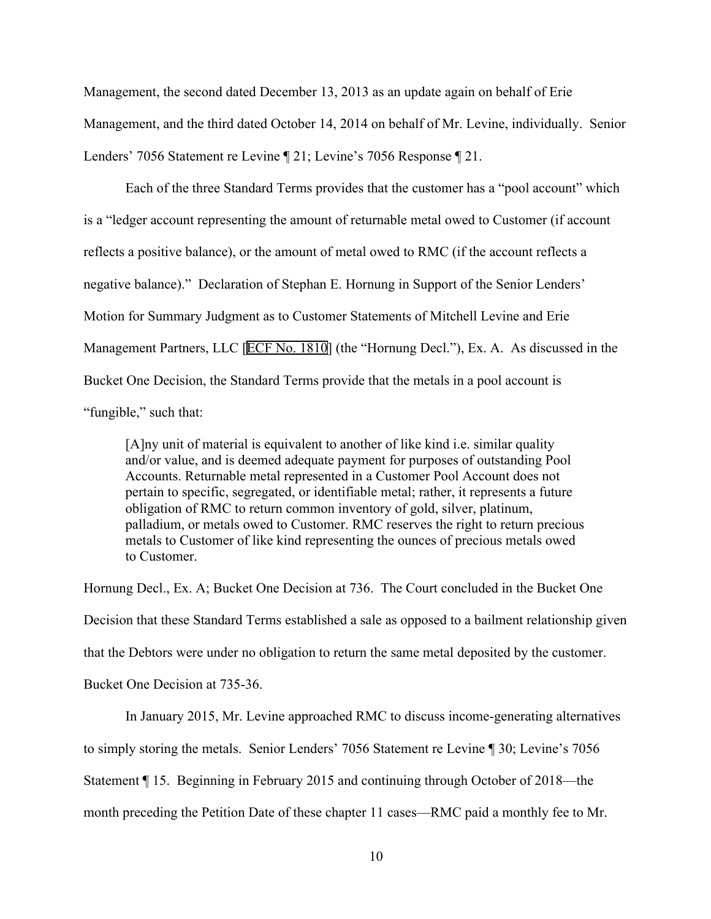Management, the second dated December 13, 2013 as an update again on behalf of Erie Management, and the third dated October 14, 2014 on behalf of Mr. Levine, individually. Senior Lenders' 7056 Statement re Levine ¶ 21; Levine's 7056 Response ¶ 21.

Each of the three Standard Terms provides that the customer has a "pool account" which is a "ledger account representing the amount of returnable metal owed to Customer (if account reflects a positive balance), or the amount of metal owed to RMC (if the account reflects a negative balance)." Declaration of Stephan E. Hornung in Support of the Senior Lenders' Motion for Summary Judgment as to Customer Statements of Mitchell Levine and Erie Management Partners, LLC [ECF No. 1810] (the "Hornung Decl."), Ex. A. As discussed in the Bucket One Decision, the Standard Terms provide that the metals in a pool account is "fungible," such that:

[A]ny unit of material is equivalent to another of like kind i.e. similar quality and/or value, and is deemed adequate payment for purposes of outstanding Pool Accounts. Returnable metal represented in a Customer Pool Account does not pertain to specific, segregated, or identifiable metal; rather, it represents a future obligation of RMC to return common inventory of gold, silver, platinum, palladium, or metals owed to Customer. RMC reserves the right to return precious metals to Customer of like kind representing the ounces of precious metals owed to Customer.

Hornung Decl., Ex. A; Bucket One Decision at 736. The Court concluded in the Bucket One Decision that these Standard Terms established a sale as opposed to a bailment relationship given that the Debtors were under no obligation to return the same metal deposited by the customer. Bucket One Decision at 735-36.

In January 2015, Mr. Levine approached RMC to discuss income-generating alternatives to simply storing the metals. Senior Lenders' 7056 Statement re Levine ¶ 30; Levine's 7056 Statement ¶ 15. Beginning in February 2015 and continuing through October of 2018—the month preceding the Petition Date of these chapter 11 cases—RMC paid a monthly fee to Mr.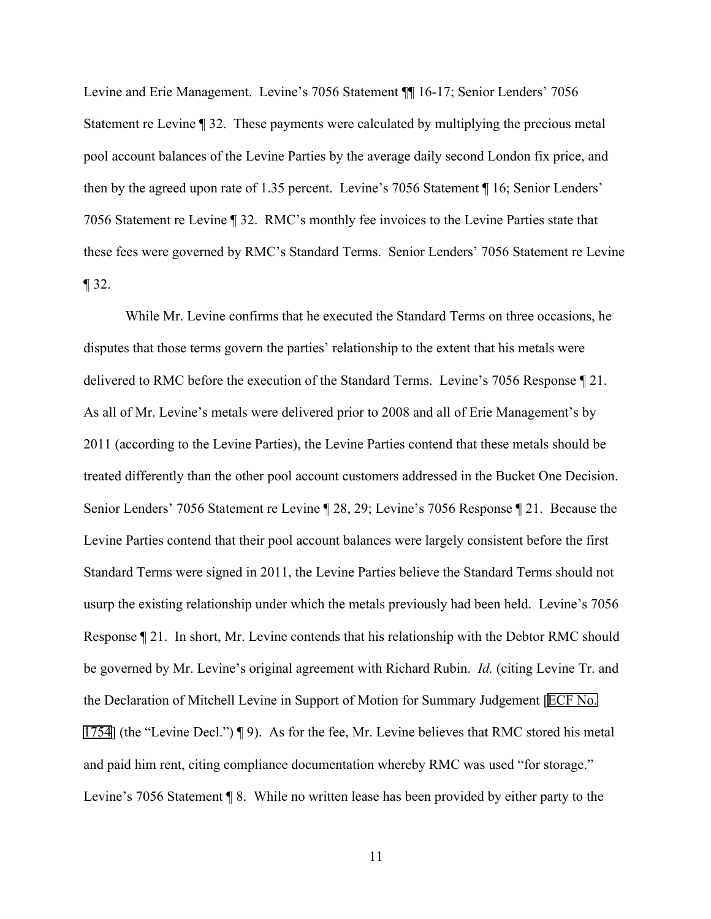Levine and Erie Management. Levine's 7056 Statement ¶¶ 16-17; Senior Lenders' 7056 Statement re Levine ¶ 32. These payments were calculated by multiplying the precious metal pool account balances of the Levine Parties by the average daily second London fix price, and then by the agreed upon rate of 1.35 percent. Levine's 7056 Statement ¶ 16; Senior Lenders' 7056 Statement re Levine ¶ 32. RMC's monthly fee invoices to the Levine Parties state that these fees were governed by RMC's Standard Terms. Senior Lenders' 7056 Statement re Levine  $\P$  32.

While Mr. Levine confirms that he executed the Standard Terms on three occasions, he disputes that those terms govern the parties' relationship to the extent that his metals were delivered to RMC before the execution of the Standard Terms. Levine's 7056 Response ¶ 21. As all of Mr. Levine's metals were delivered prior to 2008 and all of Erie Management's by 2011 (according to the Levine Parties), the Levine Parties contend that these metals should be treated differently than the other pool account customers addressed in the Bucket One Decision. Senior Lenders' 7056 Statement re Levine ¶ 28, 29; Levine's 7056 Response ¶ 21. Because the Levine Parties contend that their pool account balances were largely consistent before the first Standard Terms were signed in 2011, the Levine Parties believe the Standard Terms should not usurp the existing relationship under which the metals previously had been held. Levine's 7056 Response ¶ 21. In short, Mr. Levine contends that his relationship with the Debtor RMC should be governed by Mr. Levine's original agreement with Richard Rubin. *Id.* (citing Levine Tr. and the Declaration of Mitchell Levine in Support of Motion for Summary Judgement [ECF No. 1754] (the "Levine Decl.") ¶ 9). As for the fee, Mr. Levine believes that RMC stored his metal and paid him rent, citing compliance documentation whereby RMC was used "for storage." Levine's 7056 Statement ¶ 8. While no written lease has been provided by either party to the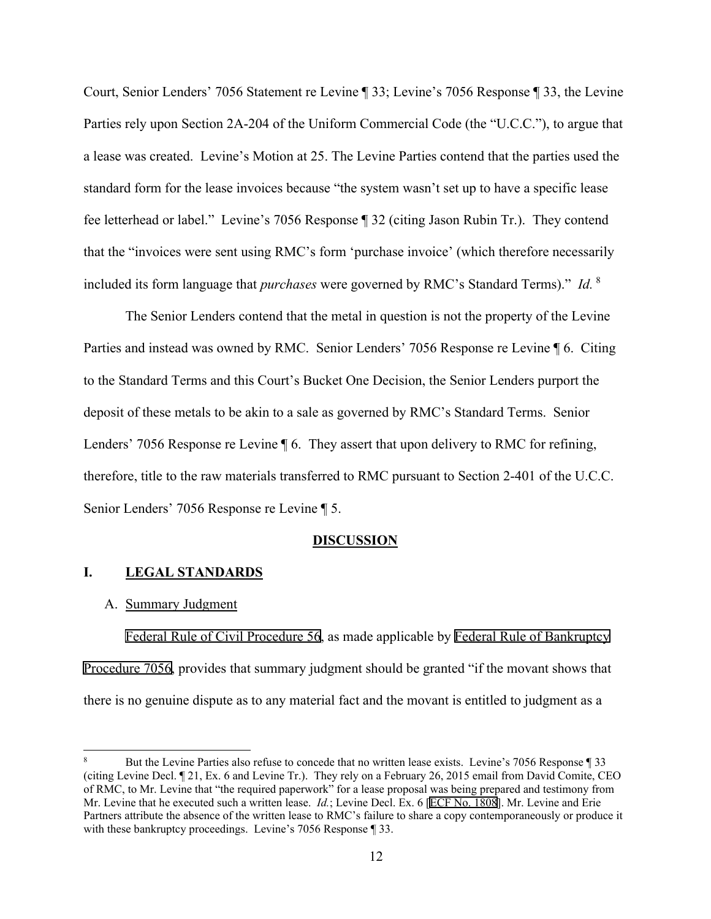Court, Senior Lenders' 7056 Statement re Levine ¶ 33; Levine's 7056 Response ¶ 33, the Levine Parties rely upon Section 2A-204 of the Uniform Commercial Code (the "U.C.C."), to argue that a lease was created. Levine's Motion at 25. The Levine Parties contend that the parties used the standard form for the lease invoices because "the system wasn't set up to have a specific lease fee letterhead or label." Levine's 7056 Response ¶ 32 (citing Jason Rubin Tr.). They contend that the "invoices were sent using RMC's form 'purchase invoice' (which therefore necessarily included its form language that *purchases* were governed by RMC's Standard Terms)." *Id.* [8](#page-11-0)

The Senior Lenders contend that the metal in question is not the property of the Levine Parties and instead was owned by RMC. Senior Lenders' 7056 Response re Levine ¶ 6. Citing to the Standard Terms and this Court's Bucket One Decision, the Senior Lenders purport the deposit of these metals to be akin to a sale as governed by RMC's Standard Terms. Senior Lenders' 7056 Response re Levine  $\P$  6. They assert that upon delivery to RMC for refining, therefore, title to the raw materials transferred to RMC pursuant to Section 2-401 of the U.C.C. Senior Lenders' 7056 Response re Levine ¶ 5.

#### **DISCUSSION**

#### **I. LEGAL STANDARDS**

#### A. Summary Judgment

Federal Rule of Civil Procedure 56, as made applicable by Federal Rule of Bankruptcy Procedure 7056, provides that summary judgment should be granted "if the movant shows that there is no genuine dispute as to any material fact and the movant is entitled to judgment as a

<span id="page-11-0"></span><sup>8</sup> But the Levine Parties also refuse to concede that no written lease exists. Levine's 7056 Response ¶ 33 (citing Levine Decl. ¶ 21, Ex. 6 and Levine Tr.). They rely on a February 26, 2015 email from David Comite, CEO of RMC, to Mr. Levine that "the required paperwork" for a lease proposal was being prepared and testimony from Mr. Levine that he executed such a written lease. *Id.*; Levine Decl. Ex. 6 [ECF No. 1808]. Mr. Levine and Erie Partners attribute the absence of the written lease to RMC's failure to share a copy contemporaneously or produce it with these bankruptcy proceedings. Levine's 7056 Response ¶ 33.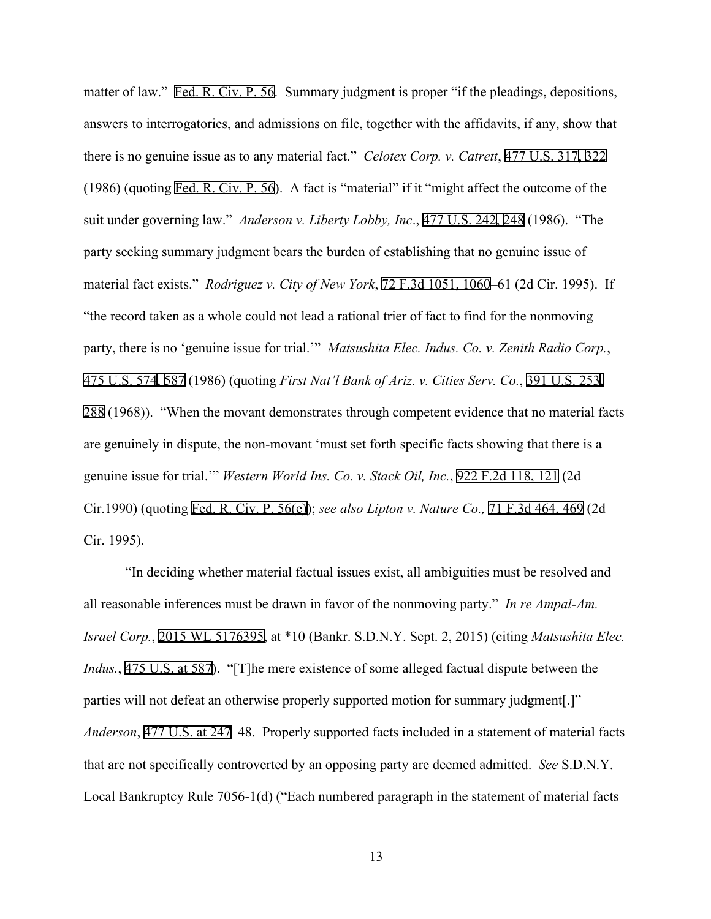matter of law." Fed. R. Civ. P. 56. Summary judgment is proper "if the pleadings, depositions, answers to interrogatories, and admissions on file, together with the affidavits, if any, show that there is no genuine issue as to any material fact." *Celotex Corp. v. Catrett*, 477 U.S. 317, 322 (1986) (quoting Fed. R. Civ. P. 56). A fact is "material" if it "might affect the outcome of the suit under governing law." *Anderson v. Liberty Lobby, Inc*., 477 U.S. 242, 248 (1986). "The party seeking summary judgment bears the burden of establishing that no genuine issue of material fact exists." *Rodriguez v. City of New York*, 72 F.3d 1051, 1060–61 (2d Cir. 1995). If "the record taken as a whole could not lead a rational trier of fact to find for the nonmoving party, there is no 'genuine issue for trial.'" *Matsushita Elec. Indus. Co. v. Zenith Radio Corp.*, 475 U.S. 574, 587 (1986) (quoting *First Nat'l Bank of Ariz. v. Cities Serv. Co.*, 391 U.S. 253, 288 (1968)). "When the movant demonstrates through competent evidence that no material facts are genuinely in dispute, the non-movant 'must set forth specific facts showing that there is a genuine issue for trial.'" *Western World Ins. Co. v. Stack Oil, Inc.*, 922 F.2d 118, 121 (2d Cir.1990) (quoting Fed. R. Civ. P. 56(e)); *see also Lipton v. Nature Co.,* 71 F.3d 464, 469 (2d Cir. 1995).

"In deciding whether material factual issues exist, all ambiguities must be resolved and all reasonable inferences must be drawn in favor of the nonmoving party." *In re Ampal-Am. Israel Corp.*, 2015 WL 5176395, at \*10 (Bankr. S.D.N.Y. Sept. 2, 2015) (citing *Matsushita Elec. Indus.*, 475 U.S. at 587). "[T]he mere existence of some alleged factual dispute between the parties will not defeat an otherwise properly supported motion for summary judgment[.]" *Anderson*, 477 U.S. at 247–48. Properly supported facts included in a statement of material facts that are not specifically controverted by an opposing party are deemed admitted. *See* S.D.N.Y. Local Bankruptcy Rule 7056-1(d) ("Each numbered paragraph in the statement of material facts

13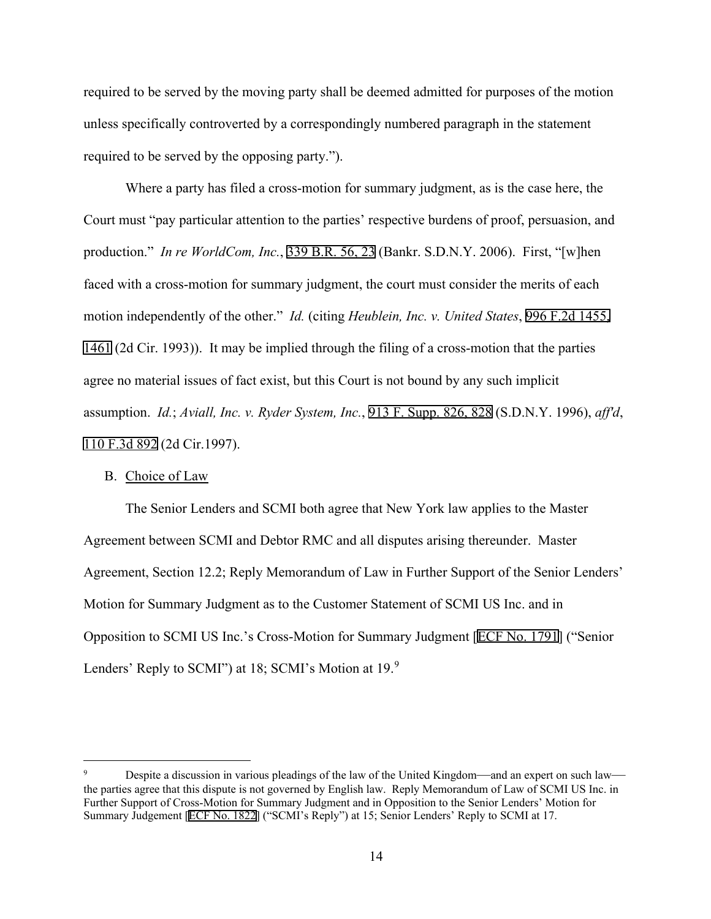required to be served by the moving party shall be deemed admitted for purposes of the motion unless specifically controverted by a correspondingly numbered paragraph in the statement required to be served by the opposing party.").

Where a party has filed a cross-motion for summary judgment, as is the case here, the Court must "pay particular attention to the parties' respective burdens of proof, persuasion, and production." *In re WorldCom, Inc.*, 339 B.R. 56, 23 (Bankr. S.D.N.Y. 2006). First, "[w]hen faced with a cross-motion for summary judgment, the court must consider the merits of each motion independently of the other." *Id.* (citing *Heublein, Inc. v. United States*, 996 F.2d 1455, 1461 (2d Cir. 1993)). It may be implied through the filing of a cross-motion that the parties agree no material issues of fact exist, but this Court is not bound by any such implicit assumption. *Id.*; *Aviall, Inc. v. Ryder System, Inc.*, 913 F. Supp. 826, 828 (S.D.N.Y. 1996), *aff'd*, 110 F.3d 892 (2d Cir.1997).

### B. Choice of Law

The Senior Lenders and SCMI both agree that New York law applies to the Master Agreement between SCMI and Debtor RMC and all disputes arising thereunder. Master Agreement, Section 12.2; Reply Memorandum of Law in Further Support of the Senior Lenders' Motion for Summary Judgment as to the Customer Statement of SCMI US Inc. and in Opposition to SCMI US Inc.'s Cross-Motion for Summary Judgment [ECF No. 1791] ("Senior Lenders' Reply to SCMI") at 18; SCMI's Motion at 1[9](#page-13-0).<sup>9</sup>

<span id="page-13-0"></span>Despite a discussion in various pleadings of the law of the United Kingdom—and an expert on such law the parties agree that this dispute is not governed by English law. Reply Memorandum of Law of SCMI US Inc. in Further Support of Cross-Motion for Summary Judgment and in Opposition to the Senior Lenders' Motion for Summary Judgement [ECF No. 1822] ("SCMI's Reply") at 15; Senior Lenders' Reply to SCMI at 17.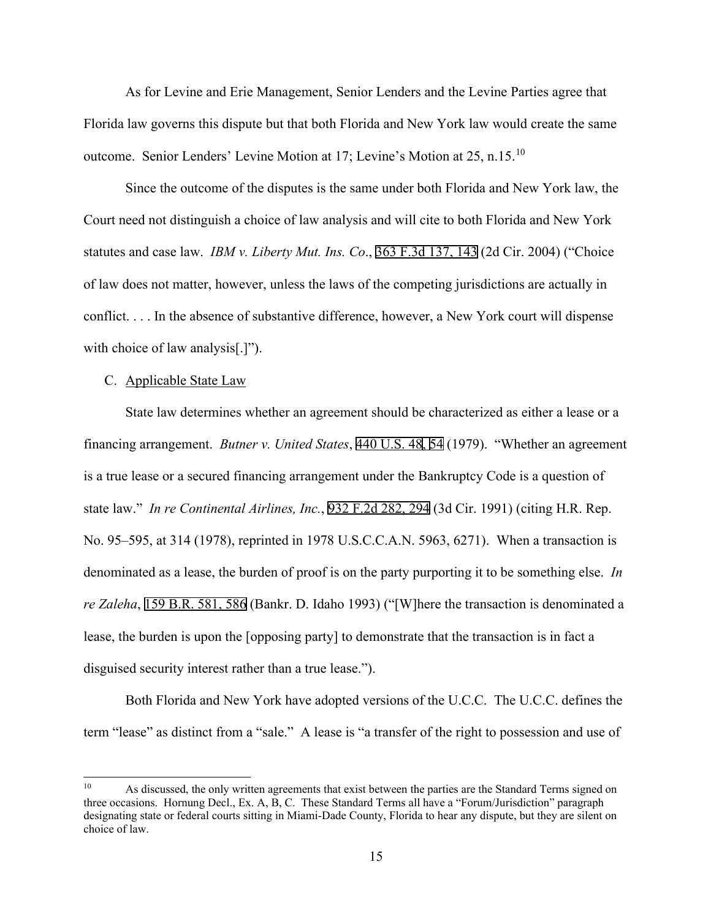As for Levine and Erie Management, Senior Lenders and the Levine Parties agree that Florida law governs this dispute but that both Florida and New York law would create the same outcome. Senior Lenders' Levine Motion at 17; Levine's Motion at 25, n.15.[10](#page-14-0)

Since the outcome of the disputes is the same under both Florida and New York law, the Court need not distinguish a choice of law analysis and will cite to both Florida and New York statutes and case law. *IBM v. Liberty Mut. Ins. Co*., 363 F.3d 137, 143 (2d Cir. 2004) ("Choice of law does not matter, however, unless the laws of the competing jurisdictions are actually in conflict. . . . In the absence of substantive difference, however, a New York court will dispense with choice of law analysis<sup>[.]")</sup>.

#### C. Applicable State Law

State law determines whether an agreement should be characterized as either a lease or a financing arrangement. *Butner v. United States*, 440 U.S. 48, 54 (1979). "Whether an agreement is a true lease or a secured financing arrangement under the Bankruptcy Code is a question of state law." *In re Continental Airlines, Inc.*, 932 F.2d 282, 294 (3d Cir. 1991) (citing H.R. Rep. No. 95–595, at 314 (1978), reprinted in 1978 U.S.C.C.A.N. 5963, 6271). When a transaction is denominated as a lease, the burden of proof is on the party purporting it to be something else. *In re Zaleha*, 159 B.R. 581, 586 (Bankr. D. Idaho 1993) ("[W]here the transaction is denominated a lease, the burden is upon the [opposing party] to demonstrate that the transaction is in fact a disguised security interest rather than a true lease.").

Both Florida and New York have adopted versions of the U.C.C. The U.C.C. defines the term "lease" as distinct from a "sale." A lease is "a transfer of the right to possession and use of

<span id="page-14-0"></span><sup>&</sup>lt;sup>10</sup> As discussed, the only written agreements that exist between the parties are the Standard Terms signed on three occasions. Hornung Decl., Ex. A, B, C. These Standard Terms all have a "Forum/Jurisdiction" paragraph designating state or federal courts sitting in Miami-Dade County, Florida to hear any dispute, but they are silent on choice of law.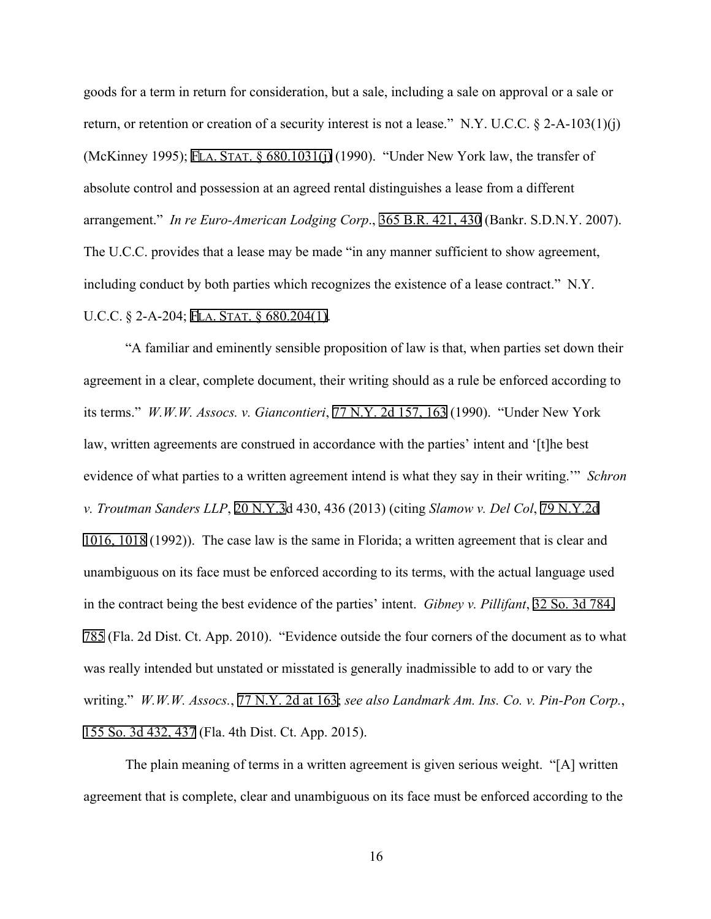goods for a term in return for consideration, but a sale, including a sale on approval or a sale or return, or retention or creation of a security interest is not a lease." N.Y. U.C.C. § 2-A-103(1)(j) (McKinney 1995); FLA. STAT. § 680.1031(j) (1990). "Under New York law, the transfer of absolute control and possession at an agreed rental distinguishes a lease from a different arrangement." *In re Euro-American Lodging Corp*., 365 B.R. 421, 430 (Bankr. S.D.N.Y. 2007). The U.C.C. provides that a lease may be made "in any manner sufficient to show agreement, including conduct by both parties which recognizes the existence of a lease contract." N.Y. U.C.C. § 2-A-204; FLA. STAT. § 680.204(1).

"A familiar and eminently sensible proposition of law is that, when parties set down their agreement in a clear, complete document, their writing should as a rule be enforced according to its terms." *W.W.W. Assocs. v. Giancontieri*, 77 N.Y. 2d 157, 163 (1990)."Under New York law, written agreements are construed in accordance with the parties' intent and '[t]he best evidence of what parties to a written agreement intend is what they say in their writing.'" *Schron v. Troutman Sanders LLP*, 20 N.Y.3d 430, 436 (2013) (citing *Slamow v. Del Col*, 79 N.Y.2d 1016, 1018 (1992)). The case law is the same in Florida; a written agreement that is clear and unambiguous on its face must be enforced according to its terms, with the actual language used in the contract being the best evidence of the parties' intent. *Gibney v. Pillifant*, 32 So. 3d 784, 785 (Fla. 2d Dist. Ct. App. 2010). "Evidence outside the four corners of the document as to what was really intended but unstated or misstated is generally inadmissible to add to or vary the writing." *W.W.W. Assocs.*, 77 N.Y. 2d at 163; *see also Landmark Am. Ins. Co. v. Pin-Pon Corp.*, 155 So. 3d 432, 437 (Fla. 4th Dist. Ct. App. 2015).

The plain meaning of terms in a written agreement is given serious weight. "[A] written agreement that is complete, clear and unambiguous on its face must be enforced according to the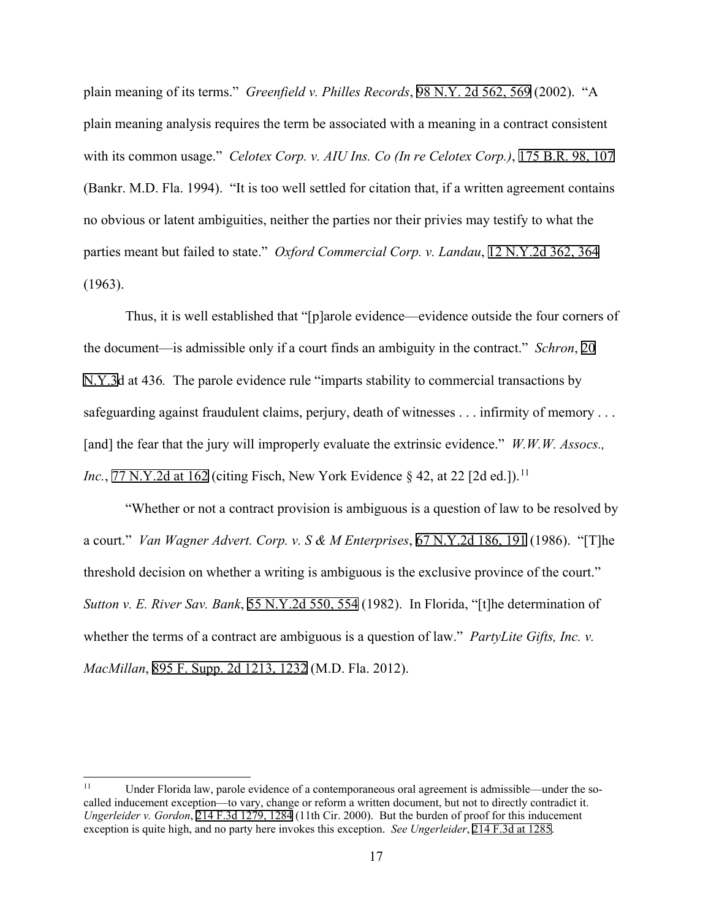plain meaning of its terms." *Greenfield v. Philles Records*, 98 N.Y. 2d 562, 569 (2002). "A plain meaning analysis requires the term be associated with a meaning in a contract consistent with its common usage." *Celotex Corp. v. AIU Ins. Co (In re Celotex Corp.)*, 175 B.R. 98, 107 (Bankr. M.D. Fla. 1994). "It is too well settled for citation that, if a written agreement contains no obvious or latent ambiguities, neither the parties nor their privies may testify to what the parties meant but failed to state." *Oxford Commercial Corp. v. Landau*, 12 N.Y.2d 362, 364 (1963).

Thus, it is well established that "[p]arole evidence—evidence outside the four corners of the document—is admissible only if a court finds an ambiguity in the contract." *Schron*, 20 N.Y.3d at 436*.* The parole evidence rule "imparts stability to commercial transactions by safeguarding against fraudulent claims, perjury, death of witnesses . . . infirmity of memory . . . [and] the fear that the jury will improperly evaluate the extrinsic evidence." *W.W.W. Assocs., Inc.*, 77 N.Y.2d at 162 (citing Fisch, New York Evidence § 42, at 22 [2d ed.]).<sup>[11](#page-16-0)</sup>

"Whether or not a contract provision is ambiguous is a question of law to be resolved by a court." *Van Wagner Advert. Corp. v. S & M Enterprises*, 67 N.Y.2d 186, 191 (1986). "[T]he threshold decision on whether a writing is ambiguous is the exclusive province of the court." *Sutton v. E. River Sav. Bank*, 55 N.Y.2d 550, 554 (1982). In Florida, "[t]he determination of whether the terms of a contract are ambiguous is a question of law." *PartyLite Gifts, Inc. v. MacMillan*, 895 F. Supp. 2d 1213, 1232 (M.D. Fla. 2012).

<span id="page-16-0"></span><sup>&</sup>lt;sup>11</sup> Under Florida law, parole evidence of a contemporaneous oral agreement is admissible—under the socalled inducement exception—to vary, change or reform a written document, but not to directly contradict it. *Ungerleider v. Gordon*, 214 F.3d 1279, 1284 (11th Cir. 2000). But the burden of proof for this inducement exception is quite high, and no party here invokes this exception. *See Ungerleider*, 214 F.3d at 1285.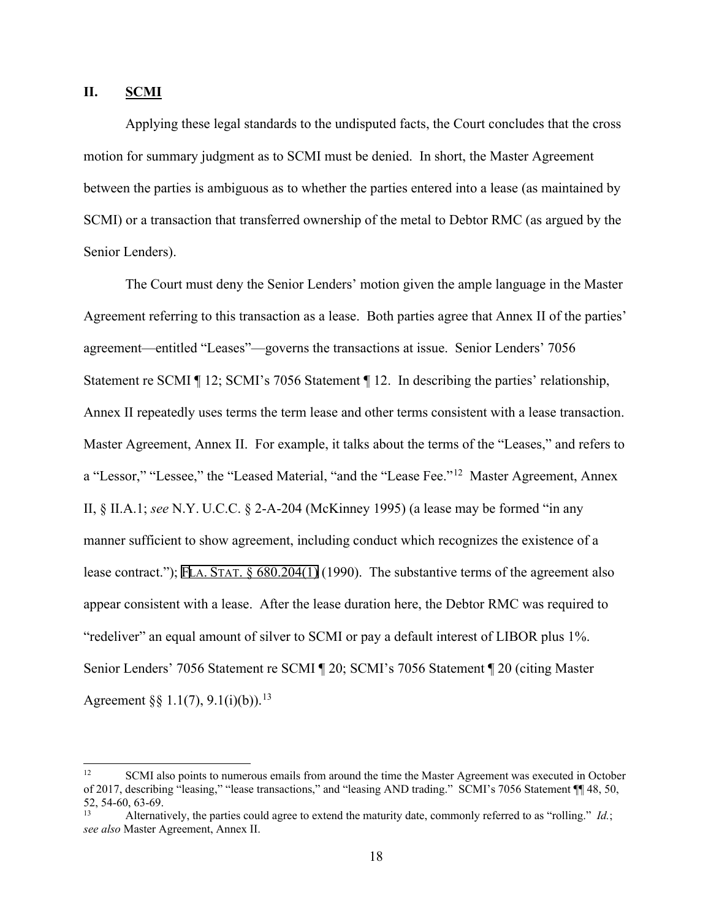### **II. SCMI**

Applying these legal standards to the undisputed facts, the Court concludes that the cross motion for summary judgment as to SCMI must be denied. In short, the Master Agreement between the parties is ambiguous as to whether the parties entered into a lease (as maintained by SCMI) or a transaction that transferred ownership of the metal to Debtor RMC (as argued by the Senior Lenders).

The Court must deny the Senior Lenders' motion given the ample language in the Master Agreement referring to this transaction as a lease. Both parties agree that Annex II of the parties' agreement—entitled "Leases"—governs the transactions at issue. Senior Lenders' 7056 Statement re SCMI ¶ 12; SCMI's 7056 Statement ¶ 12. In describing the parties' relationship, Annex II repeatedly uses terms the term lease and other terms consistent with a lease transaction. Master Agreement, Annex II. For example, it talks about the terms of the "Leases," and refers to a "Lessor," "Lessee," the "Leased Material, "and the "Lease Fee."[12](#page-17-0) Master Agreement, Annex II, § II.A.1; *see* N.Y. U.C.C. § 2-A-204 (McKinney 1995) (a lease may be formed "in any manner sufficient to show agreement, including conduct which recognizes the existence of a lease contract."); FLA. STAT. § 680.204(1) (1990). The substantive terms of the agreement also appear consistent with a lease. After the lease duration here, the Debtor RMC was required to "redeliver" an equal amount of silver to SCMI or pay a default interest of LIBOR plus 1%. Senior Lenders' 7056 Statement re SCMI ¶ 20; SCMI's 7056 Statement ¶ 20 (citing Master Agreement §§  $1.1(7)$ ,  $9.1(i)(b)$ ).<sup>[13](#page-17-1)</sup>

<span id="page-17-0"></span><sup>&</sup>lt;sup>12</sup> SCMI also points to numerous emails from around the time the Master Agreement was executed in October of 2017, describing "leasing," "lease transactions," and "leasing AND trading." SCMI's 7056 Statement ¶¶ 48, 50, 52, 54-60, 63-69. 13 Alternatively, the parties could agree to extend the maturity date, commonly referred to as "rolling." *Id.*;

<span id="page-17-1"></span>*see also* Master Agreement, Annex II.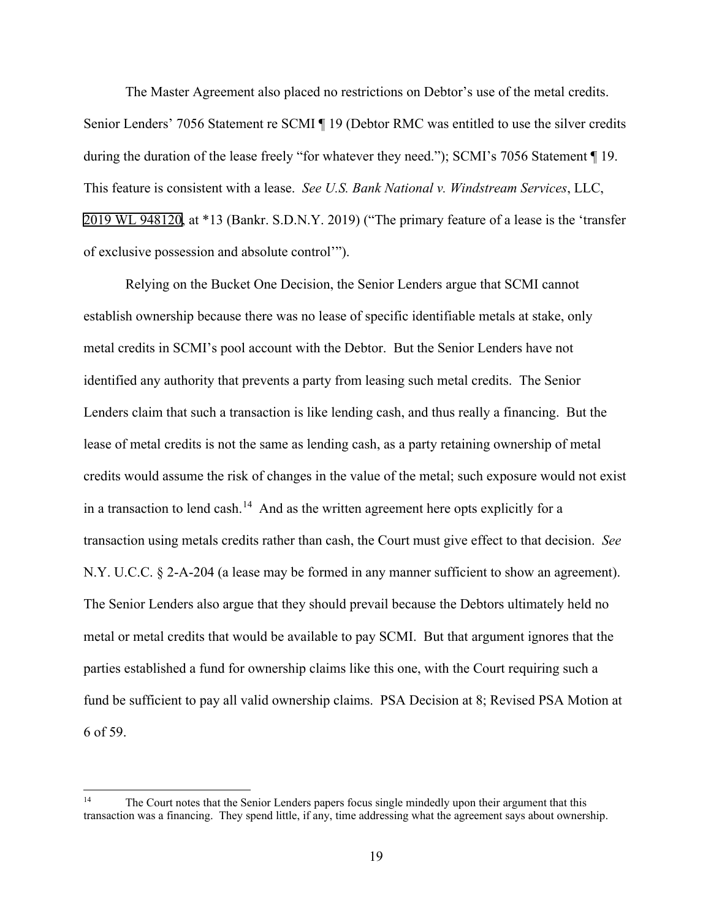The Master Agreement also placed no restrictions on Debtor's use of the metal credits. Senior Lenders' 7056 Statement re SCMI ¶ 19 (Debtor RMC was entitled to use the silver credits during the duration of the lease freely "for whatever they need."); SCMI's 7056 Statement ¶ 19. This feature is consistent with a lease. *See U.S. Bank National v. Windstream Services*, LLC, 2019 WL 948120, at \*13 (Bankr. S.D.N.Y. 2019) ("The primary feature of a lease is the 'transfer of exclusive possession and absolute control'").

Relying on the Bucket One Decision, the Senior Lenders argue that SCMI cannot establish ownership because there was no lease of specific identifiable metals at stake, only metal credits in SCMI's pool account with the Debtor. But the Senior Lenders have not identified any authority that prevents a party from leasing such metal credits. The Senior Lenders claim that such a transaction is like lending cash, and thus really a financing. But the lease of metal credits is not the same as lending cash, as a party retaining ownership of metal credits would assume the risk of changes in the value of the metal; such exposure would not exist in a transaction to lend cash.<sup>[14](#page-18-0)</sup> And as the written agreement here opts explicitly for a transaction using metals credits rather than cash, the Court must give effect to that decision. *See* N.Y. U.C.C. § 2-A-204 (a lease may be formed in any manner sufficient to show an agreement). The Senior Lenders also argue that they should prevail because the Debtors ultimately held no metal or metal credits that would be available to pay SCMI. But that argument ignores that the parties established a fund for ownership claims like this one, with the Court requiring such a fund be sufficient to pay all valid ownership claims. PSA Decision at 8; Revised PSA Motion at 6 of 59.

<span id="page-18-0"></span><sup>&</sup>lt;sup>14</sup> The Court notes that the Senior Lenders papers focus single mindedly upon their argument that this transaction was a financing. They spend little, if any, time addressing what the agreement says about ownership.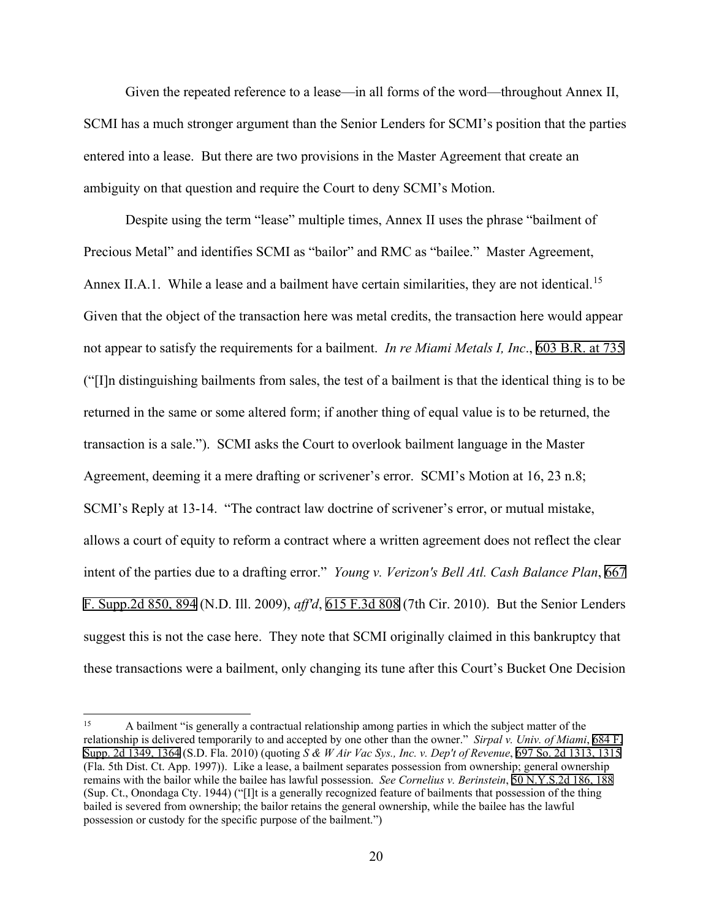Given the repeated reference to a lease—in all forms of the word—throughout Annex II, SCMI has a much stronger argument than the Senior Lenders for SCMI's position that the parties entered into a lease. But there are two provisions in the Master Agreement that create an ambiguity on that question and require the Court to deny SCMI's Motion.

Despite using the term "lease" multiple times, Annex II uses the phrase "bailment of Precious Metal" and identifies SCMI as "bailor" and RMC as "bailee." Master Agreement, Annex II.A.1. While a lease and a bailment have certain similarities, they are not identical.<sup>[15](#page-19-0)</sup> Given that the object of the transaction here was metal credits, the transaction here would appear not appear to satisfy the requirements for a bailment. *In re Miami Metals I, Inc*., 603 B.R. at 735 ("[I]n distinguishing bailments from sales, the test of a bailment is that the identical thing is to be returned in the same or some altered form; if another thing of equal value is to be returned, the transaction is a sale."). SCMI asks the Court to overlook bailment language in the Master Agreement, deeming it a mere drafting or scrivener's error. SCMI's Motion at 16, 23 n.8; SCMI's Reply at 13-14. "The contract law doctrine of scrivener's error, or mutual mistake, allows a court of equity to reform a contract where a written agreement does not reflect the clear intent of the parties due to a drafting error." *Young v. Verizon's Bell Atl. Cash Balance Plan*, 667 F. Supp.2d 850, 894 (N.D. Ill. 2009), *aff'd*, 615 F.3d 808 (7th Cir. 2010). But the Senior Lenders suggest this is not the case here. They note that SCMI originally claimed in this bankruptcy that these transactions were a bailment, only changing its tune after this Court's Bucket One Decision

<span id="page-19-0"></span><sup>&</sup>lt;sup>15</sup> A bailment "is generally a contractual relationship among parties in which the subject matter of the relationship is delivered temporarily to and accepted by one other than the owner." *Sirpal v. Univ. of Miami*, 684 F. Supp. 2d 1349, 1364 (S.D. Fla. 2010) (quoting *S & W Air Vac Sys., Inc. v. Dep't of Revenue*, 697 So. 2d 1313, 1315 (Fla. 5th Dist. Ct. App. 1997)). Like a lease, a bailment separates possession from ownership; general ownership remains with the bailor while the bailee has lawful possession. *See Cornelius v. Berinstein*, 50 N.Y.S.2d 186, 188 (Sup. Ct., Onondaga Cty. 1944) ("[I]t is a generally recognized feature of bailments that possession of the thing bailed is severed from ownership; the bailor retains the general ownership, while the bailee has the lawful possession or custody for the specific purpose of the bailment.")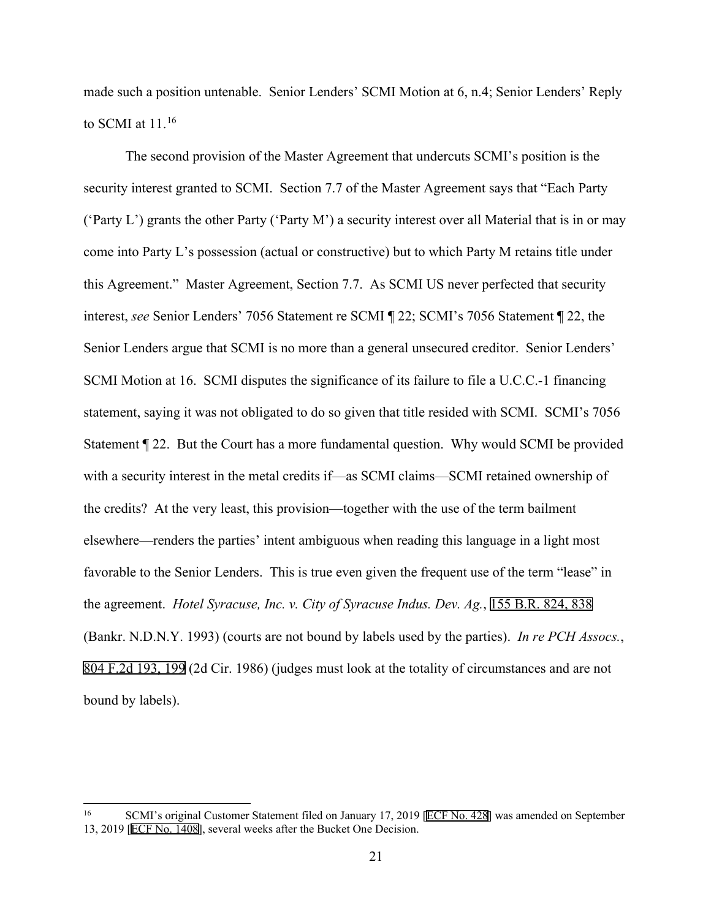made such a position untenable. Senior Lenders' SCMI Motion at 6, n.4; Senior Lenders' Reply to SCMI at  $11.^{16}$ 

The second provision of the Master Agreement that undercuts SCMI's position is the security interest granted to SCMI. Section 7.7 of the Master Agreement says that "Each Party ('Party L') grants the other Party ('Party M') a security interest over all Material that is in or may come into Party L's possession (actual or constructive) but to which Party M retains title under this Agreement." Master Agreement, Section 7.7. As SCMI US never perfected that security interest, *see* Senior Lenders' 7056 Statement re SCMI ¶ 22; SCMI's 7056 Statement ¶ 22, the Senior Lenders argue that SCMI is no more than a general unsecured creditor. Senior Lenders' SCMI Motion at 16. SCMI disputes the significance of its failure to file a U.C.C.-1 financing statement, saying it was not obligated to do so given that title resided with SCMI. SCMI's 7056 Statement ¶ 22. But the Court has a more fundamental question. Why would SCMI be provided with a security interest in the metal credits if—as SCMI claims—SCMI retained ownership of the credits? At the very least, this provision—together with the use of the term bailment elsewhere—renders the parties' intent ambiguous when reading this language in a light most favorable to the Senior Lenders. This is true even given the frequent use of the term "lease" in the agreement. *Hotel Syracuse, Inc. v. City of Syracuse Indus. Dev. Ag.*, 155 B.R. 824, 838 (Bankr. N.D.N.Y. 1993) (courts are not bound by labels used by the parties). *In re PCH Assocs.*, 804 F.2d 193, 199 (2d Cir. 1986) (judges must look at the totality of circumstances and are not bound by labels).

<span id="page-20-0"></span><sup>&</sup>lt;sup>16</sup> SCMI's original Customer Statement filed on January 17, 2019 [ECF No. 428] was amended on September 13, 2019 [ECF No. 1408], several weeks after the Bucket One Decision.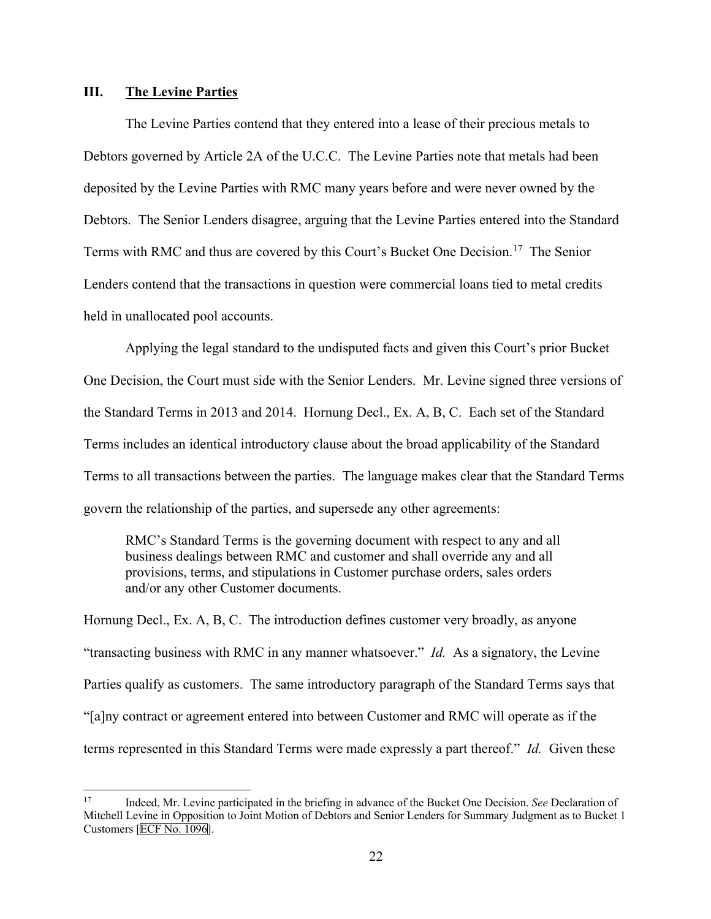### **III. The Levine Parties**

The Levine Parties contend that they entered into a lease of their precious metals to Debtors governed by Article 2A of the U.C.C. The Levine Parties note that metals had been deposited by the Levine Parties with RMC many years before and were never owned by the Debtors. The Senior Lenders disagree, arguing that the Levine Parties entered into the Standard Terms with RMC and thus are covered by this Court's Bucket One Decision.[17](#page-21-0) The Senior Lenders contend that the transactions in question were commercial loans tied to metal credits held in unallocated pool accounts.

Applying the legal standard to the undisputed facts and given this Court's prior Bucket One Decision, the Court must side with the Senior Lenders. Mr. Levine signed three versions of the Standard Terms in 2013 and 2014. Hornung Decl., Ex. A, B, C. Each set of the Standard Terms includes an identical introductory clause about the broad applicability of the Standard Terms to all transactions between the parties. The language makes clear that the Standard Terms govern the relationship of the parties, and supersede any other agreements:

RMC's Standard Terms is the governing document with respect to any and all business dealings between RMC and customer and shall override any and all provisions, terms, and stipulations in Customer purchase orders, sales orders and/or any other Customer documents.

Hornung Decl., Ex. A, B, C. The introduction defines customer very broadly, as anyone "transacting business with RMC in any manner whatsoever." *Id.* As a signatory, the Levine Parties qualify as customers. The same introductory paragraph of the Standard Terms says that "[a]ny contract or agreement entered into between Customer and RMC will operate as if the terms represented in this Standard Terms were made expressly a part thereof." *Id.* Given these

<span id="page-21-0"></span><sup>17</sup> Indeed, Mr. Levine participated in the briefing in advance of the Bucket One Decision. *See* Declaration of Mitchell Levine in Opposition to Joint Motion of Debtors and Senior Lenders for Summary Judgment as to Bucket 1 Customers [ECF No. 1096].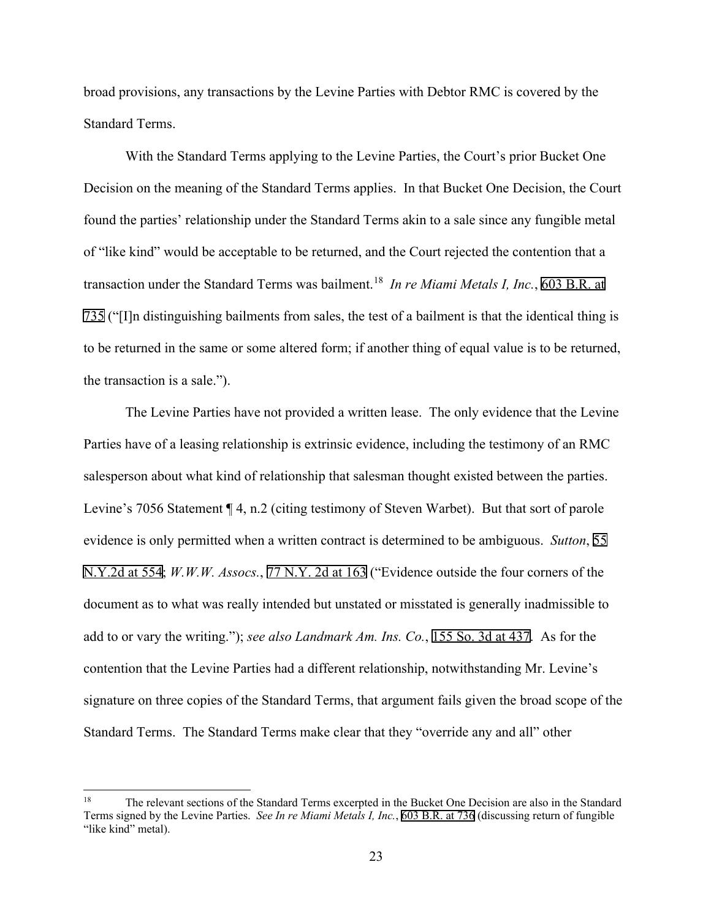broad provisions, any transactions by the Levine Parties with Debtor RMC is covered by the Standard Terms.

With the Standard Terms applying to the Levine Parties, the Court's prior Bucket One Decision on the meaning of the Standard Terms applies. In that Bucket One Decision, the Court found the parties' relationship under the Standard Terms akin to a sale since any fungible metal of "like kind" would be acceptable to be returned, and the Court rejected the contention that a transaction under the Standard Terms was bailment. [18](#page-22-0) *In re Miami Metals I, Inc.*, 603 B.R. at 735 ("[I]n distinguishing bailments from sales, the test of a bailment is that the identical thing is to be returned in the same or some altered form; if another thing of equal value is to be returned, the transaction is a sale.").

The Levine Parties have not provided a written lease. The only evidence that the Levine Parties have of a leasing relationship is extrinsic evidence, including the testimony of an RMC salesperson about what kind of relationship that salesman thought existed between the parties. Levine's 7056 Statement  $\P$  4, n.2 (citing testimony of Steven Warbet). But that sort of parole evidence is only permitted when a written contract is determined to be ambiguous. *Sutton*, 55 N.Y.2d at 554; *W.W.W. Assocs.*, 77 N.Y. 2d at 163 ("Evidence outside the four corners of the document as to what was really intended but unstated or misstated is generally inadmissible to add to or vary the writing."); *see also Landmark Am. Ins. Co.*, 155 So. 3d at 437. As for the contention that the Levine Parties had a different relationship, notwithstanding Mr. Levine's signature on three copies of the Standard Terms, that argument fails given the broad scope of the Standard Terms. The Standard Terms make clear that they "override any and all" other

<span id="page-22-0"></span><sup>&</sup>lt;sup>18</sup> The relevant sections of the Standard Terms excerpted in the Bucket One Decision are also in the Standard Terms signed by the Levine Parties. *See In re Miami Metals I, Inc.*, 603 B.R. at 736 (discussing return of fungible "like kind" metal).